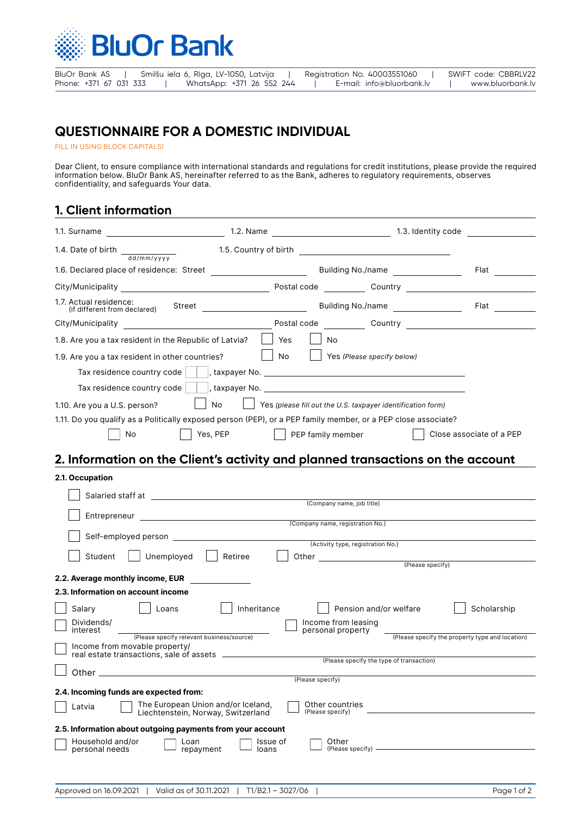

# **QUESTIONNAIRE FOR A DOMESTIC INDIVIDUAL**

FILL IN USING BLOCK CAPITALS!

Dear Client, to ensure compliance with international standards and regulations for credit institutions, please provide the required information below. BluOr Bank AS, hereinafter referred to as the Bank, adheres to regulatory requirements, observes confidentiality, and safeguards Your data.

### **1. Client information**

| 1.4. Date of birth $\frac{d}{d}$                                                                              |                                                                   |                                                 |  |  |  |
|---------------------------------------------------------------------------------------------------------------|-------------------------------------------------------------------|-------------------------------------------------|--|--|--|
| 1.6. Declared place of residence: Street                                                                      |                                                                   | <b>Building No./name</b><br>Flat <b>Filter</b>  |  |  |  |
|                                                                                                               |                                                                   |                                                 |  |  |  |
| 1.7. Actual residence:<br>(if different from declared)                                                        |                                                                   |                                                 |  |  |  |
| City/Municipality City/Municipality                                                                           |                                                                   |                                                 |  |  |  |
| 1.8. Are you a tax resident in the Republic of Latvia?                                                        | Yes<br>No.                                                        |                                                 |  |  |  |
| 1.9. Are you a tax resident in other countries?                                                               | $\overline{\phantom{a}}$ No<br>$\vert$ Yes (Please specify below) |                                                 |  |  |  |
| Tax residence country code      , taxpayer No. _________________________________                              |                                                                   |                                                 |  |  |  |
| Tax residence country code      , taxpayer No. __________________________________                             |                                                                   |                                                 |  |  |  |
| No<br>$\Box$ Yes (please fill out the U.S. taxpayer identification form)<br>1.10. Are you a U.S. person?      |                                                                   |                                                 |  |  |  |
| 1.11. Do you qualify as a Politically exposed person (PEP), or a PEP family member, or a PEP close associate? |                                                                   |                                                 |  |  |  |
| Yes, PEP<br>No.                                                                                               | PEP family member                                                 | Close associate of a PEP                        |  |  |  |
| 2. Information on the Client's activity and planned transactions on the account                               |                                                                   |                                                 |  |  |  |
| 2.1. Occupation                                                                                               |                                                                   |                                                 |  |  |  |
|                                                                                                               |                                                                   |                                                 |  |  |  |
|                                                                                                               | (Company name, job title)                                         |                                                 |  |  |  |
|                                                                                                               | (Company name, registration No.)                                  |                                                 |  |  |  |
|                                                                                                               | (Activity type, registration No.)                                 |                                                 |  |  |  |
| Student<br>Unemployed                                                                                         | Retiree                                                           |                                                 |  |  |  |
|                                                                                                               |                                                                   | (Please specify)                                |  |  |  |
| 2.2. Average monthly income, EUR<br>2.3. Information on account income                                        |                                                                   |                                                 |  |  |  |
| Salary<br>Loans                                                                                               | Inheritance                                                       | Pension and/or welfare<br>Scholarship           |  |  |  |
| Dividends/                                                                                                    | Income from leasing                                               |                                                 |  |  |  |
| interest<br>(Please specify relevant business/source)                                                         | personal property                                                 | (Please specify the property type and location) |  |  |  |
| Income from movable property/<br>real estate transactions, sale of assets                                     |                                                                   |                                                 |  |  |  |
|                                                                                                               |                                                                   | (Please specify the type of transaction)        |  |  |  |
| Other                                                                                                         | (Please specify)                                                  |                                                 |  |  |  |
| 2.4. Incoming funds are expected from:                                                                        |                                                                   |                                                 |  |  |  |
| The European Union and/or Iceland,<br>Latvia<br>Liechtenstein, Norway, Switzerland                            | Other countries<br>(Please specify)                               |                                                 |  |  |  |
| 2.5. Information about outgoing payments from your account                                                    |                                                                   |                                                 |  |  |  |
| Household and/or<br>Loan<br>personal needs<br>repayment                                                       | Other<br>Issue of<br>(Please specify) —<br>loans                  |                                                 |  |  |  |